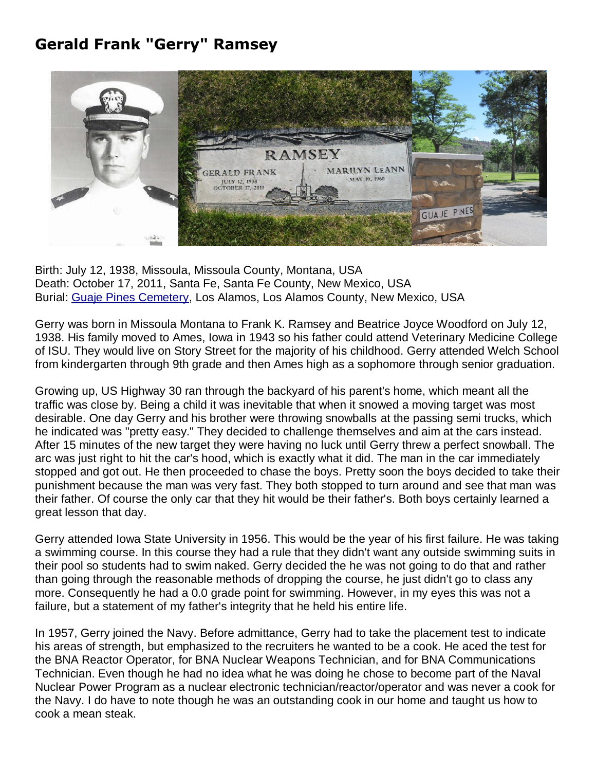## **Gerald Frank "Gerry" Ramsey**



Birth: July 12, 1938, Missoula, Missoula County, Montana, USA Death: October 17, 2011, Santa Fe, Santa Fe County, New Mexico, USA Burial: [Guaje Pines Cemetery,](http://www.findagrave.com/cgi-bin/fg.cgi?page=cr&GRid=79319249&CRid=38100&) Los Alamos, Los Alamos County, New Mexico, USA

Gerry was born in Missoula Montana to Frank K. Ramsey and Beatrice Joyce Woodford on July 12, 1938. His family moved to Ames, Iowa in 1943 so his father could attend Veterinary Medicine College of ISU. They would live on Story Street for the majority of his childhood. Gerry attended Welch School from kindergarten through 9th grade and then Ames high as a sophomore through senior graduation.

Growing up, US Highway 30 ran through the backyard of his parent's home, which meant all the traffic was close by. Being a child it was inevitable that when it snowed a moving target was most desirable. One day Gerry and his brother were throwing snowballs at the passing semi trucks, which he indicated was "pretty easy." They decided to challenge themselves and aim at the cars instead. After 15 minutes of the new target they were having no luck until Gerry threw a perfect snowball. The arc was just right to hit the car's hood, which is exactly what it did. The man in the car immediately stopped and got out. He then proceeded to chase the boys. Pretty soon the boys decided to take their punishment because the man was very fast. They both stopped to turn around and see that man was their father. Of course the only car that they hit would be their father's. Both boys certainly learned a great lesson that day.

Gerry attended Iowa State University in 1956. This would be the year of his first failure. He was taking a swimming course. In this course they had a rule that they didn't want any outside swimming suits in their pool so students had to swim naked. Gerry decided the he was not going to do that and rather than going through the reasonable methods of dropping the course, he just didn't go to class any more. Consequently he had a 0.0 grade point for swimming. However, in my eyes this was not a failure, but a statement of my father's integrity that he held his entire life.

In 1957, Gerry joined the Navy. Before admittance, Gerry had to take the placement test to indicate his areas of strength, but emphasized to the recruiters he wanted to be a cook. He aced the test for the BNA Reactor Operator, for BNA Nuclear Weapons Technician, and for BNA Communications Technician. Even though he had no idea what he was doing he chose to become part of the Naval Nuclear Power Program as a nuclear electronic technician/reactor/operator and was never a cook for the Navy. I do have to note though he was an outstanding cook in our home and taught us how to cook a mean steak.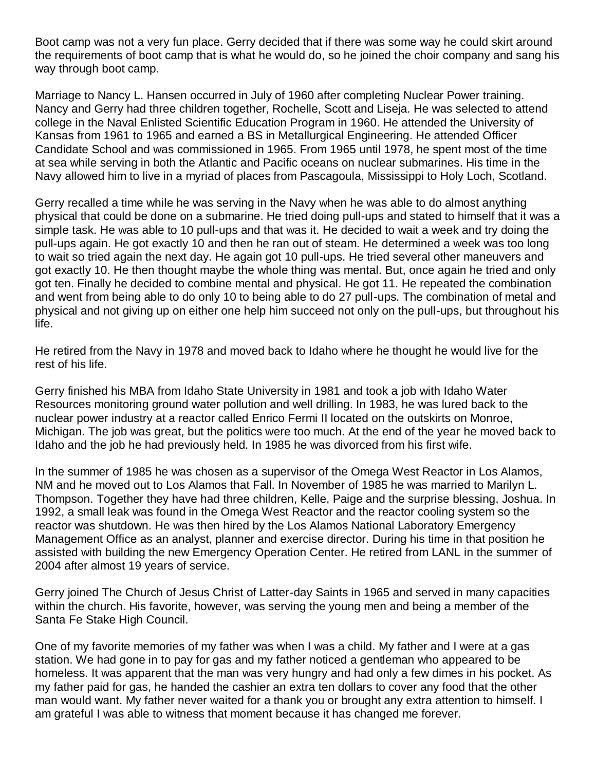Boot camp was not a very fun place. Gerry decided that if there was some way he could skirt around the requirements of boot camp that is what he would do, so he joined the choir company and sang his way through boot camp.

Marriage to Nancy L. Hansen occurred in July of 1960 after completing Nuclear Power training. Nancy and Gerry had three children together, Rochelle, Scott and Liseja. He was selected to attend college in the Naval Enlisted Scientific Education Program in 1960. He attended the University of Kansas from 1961 to 1965 and earned a BS in Metallurgical Engineering. He attended Officer Candidate School and was commissioned in 1965. From 1965 until 1978, he spent most of the time at sea while serving in both the Atlantic and Pacific oceans on nuclear submarines. His time in the Navy allowed him to live in a myriad of places from Pascagoula, Mississippi to Holy Loch, Scotland.

Gerry recalled a time while he was serving in the Navy when he was able to do almost anything physical that could be done on a submarine. He tried doing pull-ups and stated to himself that it was a simple task. He was able to 10 pull-ups and that was it. He decided to wait a week and try doing the pull-ups again. He got exactly 10 and then he ran out of steam. He determined a week was too long to wait so tried again the next day. He again got 10 pull-ups. He tried several other maneuvers and got exactly 10. He then thought maybe the whole thing was mental. But, once again he tried and only got ten. Finally he decided to combine mental and physical. He got 11. He repeated the combination and went from being able to do only 10 to being able to do 27 pull-ups. The combination of metal and physical and not giving up on either one help him succeed not only on the pull-ups, but throughout his life.

He retired from the Navy in 1978 and moved back to Idaho where he thought he would live for the rest of his life.

Gerry finished his MBA from Idaho State University in 1981 and took a job with Idaho Water Resources monitoring ground water pollution and well drilling. In 1983, he was lured back to the nuclear power industry at a reactor called Enrico Fermi II located on the outskirts on Monroe, Michigan. The job was great, but the politics were too much. At the end of the year he moved back to Idaho and the job he had previously held. In 1985 he was divorced from his first wife.

In the summer of 1985 he was chosen as a supervisor of the Omega West Reactor in Los Alamos, NM and he moved out to Los Alamos that Fall. In November of 1985 he was married to Marilyn L. Thompson. Together they have had three children, Kelle, Paige and the surprise blessing, Joshua. In 1992, a small leak was found in the Omega West Reactor and the reactor cooling system so the reactor was shutdown. He was then hired by the Los Alamos National Laboratory Emergency Management Office as an analyst, planner and exercise director. During his time in that position he assisted with building the new Emergency Operation Center. He retired from LANL in the summer of 2004 after almost 19 years of service.

Gerry joined The Church of Jesus Christ of Latter-day Saints in 1965 and served in many capacities within the church. His favorite, however, was serving the young men and being a member of the Santa Fe Stake High Council.

One of my favorite memories of my father was when I was a child. My father and I were at a gas station. We had gone in to pay for gas and my father noticed a gentleman who appeared to be homeless. It was apparent that the man was very hungry and had only a few dimes in his pocket. As my father paid for gas, he handed the cashier an extra ten dollars to cover any food that the other man would want. My father never waited for a thank you or brought any extra attention to himself. I am grateful I was able to witness that moment because it has changed me forever.